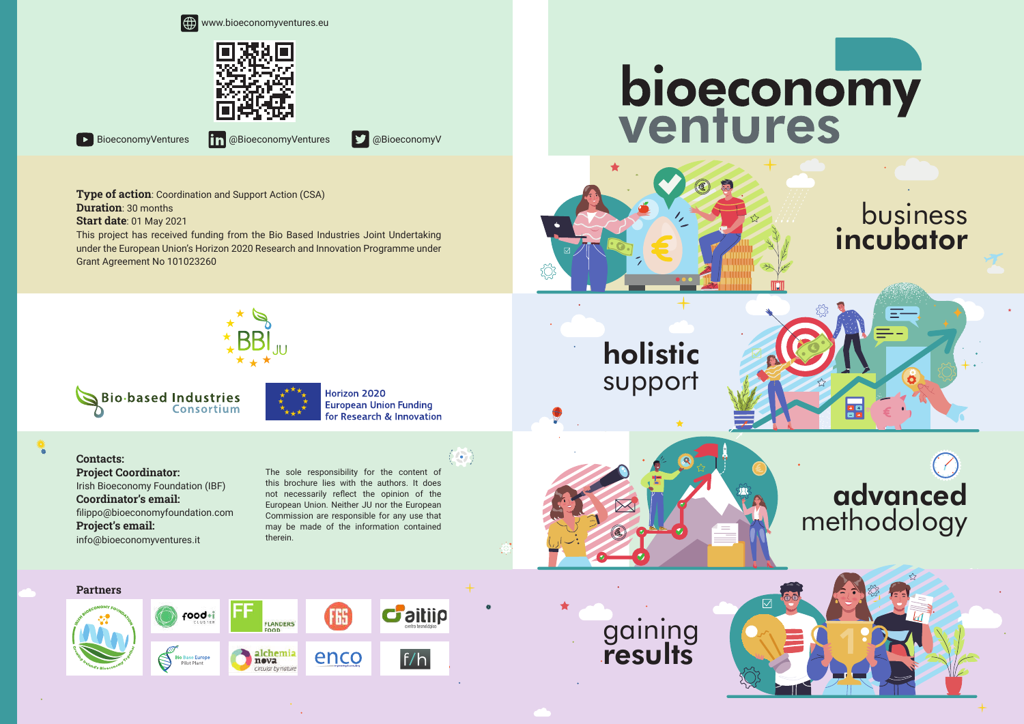



**BioeconomyVentures in @BioeconomyVentures D** @BioeconomyV

**Type of action**: Coordination and Support Action (CSA) **Duration**: 30 months

**Start date**: 01 May 2021

This project has received funding from the Bio Based Industries Joint Undertaking under the European Union's Horizon 2020 Research and Innovation Programme under Grant Agreement No 101023260

## bioeconomy<br>ventures



business incubator

### support





holistic



advanced methodology





Horizon 2020 **European Union Funding** for Research & Innovation

**Contacts: Project Coordinator:** Irish Bioeconomy Foundation (IBF) **Coordinator's email:**  filippo@bioeconomyfoundation.com **Project's email:**  info@bioeconomyventures.it

The sole responsibility for the content of this brochure lies with the authors. It does not necessarily reflect the opinion of the European Union. Neither JU nor the European Commission are responsible for any use that may be made of the information contained therein.